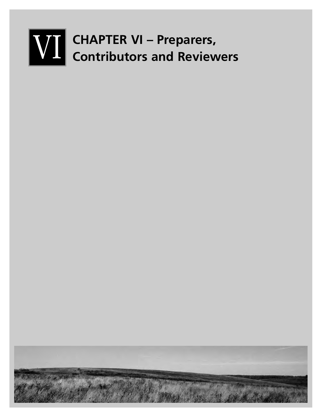# **WIL CHAPTER VI - Preparers,<br>Contributors and Reviewers**

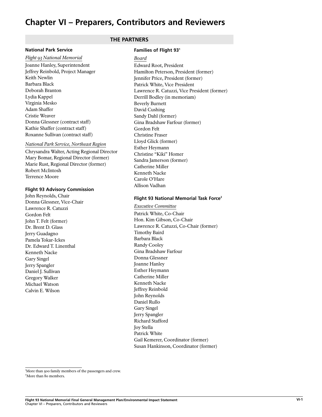# **Chapter VI – Preparers, Contributors and Reviewers**

#### **National Park Service**

*Flight 93 National Memorial* Joanne Hanley, Superintendent Jeffrey Reinbold, Project Manager Keith Newlin Barbara Black Deborah Branton Lydia Kappel Virginia Mesko Adam Shaffer Cristie Weaver Donna Glessner (contract staff) Kathie Shaffer (contract staff) Roxanne Sullivan (contract staff)

#### *National Park Service, Northeast Region*

Chrysandra Walter, Acting Regional Director Mary Bomar, Regional Director (former) Marie Rust, Regional Director (former) Robert McIntosh Terrence Moore

#### **Flight 93 Advisory Commission**

John Reynolds, Chair Donna Glessner, Vice-Chair Lawrence R. Catuzzi Gordon Felt John T. Felt (former) Dr. Brent D. Glass Jerry Guadagno Pamela Tokar-Ickes Dr. Edward T. Linenthal Kenneth Nacke Gary Singel Jerry Spangler Daniel J. Sullivan Gregory Walker Michael Watson Calvin E. Wilson

# **THE PARTNERS**

#### **Families of Flight 931**

*Board*

Edward Root, President Hamilton Peterson, President (former) Jennifer Price, President (former) Patrick White, Vice President Lawrence R. Catuzzi, Vice President (former) Derrill Bodley (in memoriam) Beverly Burnett David Cushing Sandy Dahl (former) Gina Bradshaw Farfour (former) Gordon Felt Christine Fraser Lloyd Glick (former) Esther Heymann Christine "Kiki" Homer Sandra Jamerson (former) Catherine Miller Kenneth Nacke Carole O'Hare Allison Vadhan

# **Flight 93 National Memorial Task Force2**

*Executive Committee* Patrick White, Co-Chair Hon. Kim Gibson, Co-Chair Lawrence R. Catuzzi, Co-Chair (former) Timothy Baird Barbara Black Randy Cooley Gina Bradshaw Farfour Donna Glessner Joanne Hanley Esther Heymann Catherine Miller Kenneth Nacke Jeffrey Reinbold John Reynolds Daniel Rullo Gary Singel Jerry Spangler Richard Stafford Joy Stella Patrick White Gail Kemerer, Coordinator (former) Susan Hankinson, Coordinator (former)

'More than 500 family members of the passengers and crew. 2 More than 80 members.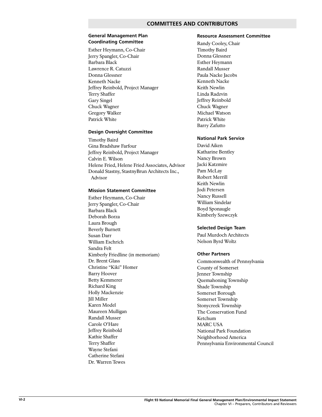# **COMMITTEES AND CONTRIBUTORS**

#### **General Management Plan Coordinating Committee**

Esther Heymann, Co-Chair Jerry Spangler, Co-Chair Barbara Black Lawrence R. Catuzzi Donna Glessner Kenneth Nacke Jeffrey Reinbold, Project Manager Terry Shaffer Gary Singel Chuck Wagner Gregory Walker Patrick White

## **Design Oversight Committee**

Timothy Baird Gina Bradshaw Farfour Jeffrey Reinbold, Project Manager Calvin E. Wilson Helene Fried, Helene Fried Associates, Advisor Donald Stastny, StastnyBrun Architects Inc., Advisor

#### **Mission Statement Committee**

Esther Heymann, Co-Chair Jerry Spangler, Co-Chair Barbara Black Deborah Borza Laura Brough Beverly Burnett Susan Darr William Eschrich Sandra Felt Kimberly Friedline (in memoriam) Dr. Brent Glass Christine "Kiki" Homer Barry Hoover Betty Kemmerer Richard King Holly Mackenzie Jill Miller Karen Model Maureen Mulligan Randall Musser Carole O'Hare Jeffrey Reinbold Kathie Shaffer Terry Shaffer Wayne Stefani Catherine Stefani Dr. Warren Tewes

#### **Resource Assessment Committee**

Randy Cooley, Chair Timothy Baird Donna Glessner Esther Heymann Randall Musser Paula Nacke Jacobs Kenneth Nacke Keith Newlin Linda Radzvin Jeffrey Reinbold Chuck Wagner Michael Watson Patrick White Barry Zafutto

#### **National Park Service**

David Aiken Katharine Bentley Nancy Brown Jacki Katzmire Pam McLay Robert Merrill Keith Newlin Jodi Petersen Nancy Russell William Sindelar Boyd Sponaugle Kimberly Szewczyk

#### **Selected Design Team**

Paul Murdoch Architects Nelson Byrd Woltz

#### **Other Partners**

Commonwealth of Pennsylvania County of Somerset Jenner Township Quemahoning Township Shade Township Somerset Borough Somerset Township Stonycreek Township The Conservation Fund Ketchum MARC USA National Park Foundation Neighborhood America Pennsylvania Environmental Council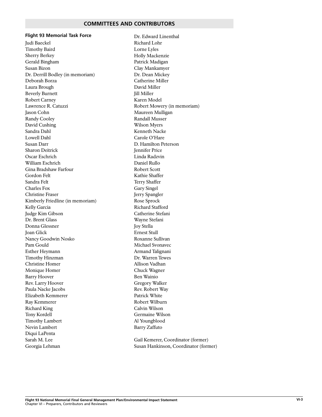# **COMMITTEES AND CONTRIBUTORS**

# **Flight 93 Memorial Task Force**

Judi Baeckel Timothy Baird Sherry Berkey Gerald Bingham Susan Bizon Dr. Derrill Bodley (in memoriam) Deborah Borza Laura Brough Beverly Burnett Robert Carney Lawrence R. Catuzzi Jason Cohn Randy Cooley David Cushing Sandra Dahl Lowell Dahl Susan Darr Sharon Deitrick Oscar Eschrich William Eschrich Gina Bradshaw Farfour Gordon Felt Sandra Felt Charles Fox Christine Fraser Kimberly Friedline (in memoriam) Kelly Garcia Judge Kim Gibson Dr. Brent Glass Donna Glessner Joan Glick Nancy Goodwin Nosko Pam Gould Esther Heymann Timothy Hinzman Christine Homer Monique Homer Barry Hoover Rev. Larry Hoover Paula Nacke Jacobs Elizabeth Kemmerer Ray Kemmerer Richard King Tony Kordell Timothy Lambert Nevin Lambert Diqui LaPenta Sarah M. Lee Georgia Lehman

Dr. Edward Linenthal Richard Lohr Lorne Lyles Holly Mackenzie Patrick Madigan Clay Mankamyer Dr. Dean Mickey Catherine Miller David Miller **Jill Miller** Karen Model Robert Mowery (in memoriam) Maureen Mulligan Randall Musser Wilson Myers Kenneth Nacke Carole O'Hare D. Hamilton Peterson Jennifer Price Linda Radzvin Daniel Rullo Robert Scott Kathie Shaffer Terry Shaffer Gary Singel Jerry Spangler Rose Sprock Richard Stafford Catherine Stefani Wayne Stefani Joy Stella Ernest Stull Roxanne Sullivan Michael Svonavec Armand Talignani Dr. Warren Tewes Allison Vadhan Chuck Wagner Ben Wainio Gregory Walker Rev. Robert Way Patrick White Robert Wilburn Calvin Wilson Germaine Wilson Al Youngblood Barry Zaffuto

Gail Kemerer, Coordinator (former) Susan Hankinson, Coordinator (former)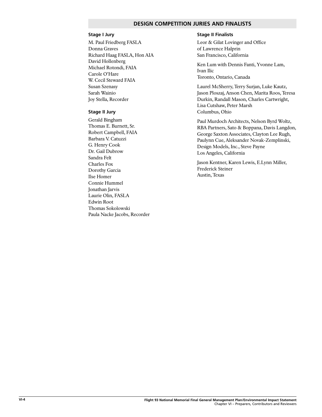# **DESIGN COMPETITION JURIES AND FINALISTS**

# **Stage I Jury**

M. Paul Friedberg FASLA Donna Graves Richard Haag FASLA, Hon AIA David Hollenberg Michael Rotondi, FAIA Carole O'Hare W. Cecil Steward FAIA Susan Szenasy Sarah Wainio Joy Stella, Recorder

#### **Stage II Jury**

Gerald Bingham Thomas E. Burnett, Sr. Robert Campbell, FAIA Barbara V. Catuzzi G. Henry Cook Dr. Gail Dubrow Sandra Felt Charles Fox Dorothy Garcia Ilse Homer Connie Hummel Jonathan Jarvis Laurie Olin, FASLA Edwin Root Thomas Sokolowski Paula Nacke Jacobs, Recorder

#### **Stage II Finalists**

Leor & Gilat Lovinger and Office of Lawrence Halprin San Francisco, California

Ken Lum with Dennis Fanti, Yvonne Lam, Ivan Ilic Toronto, Ontario, Canada

Laurel McSherry, Terry Surjan, Luke Kautz, Jason Ploszaj, Anson Chen, Marita Roos, Teresa Durkin, Randall Mason, Charles Cartwright, Lisa Cutshaw, Peter Marsh Columbus, Ohio

Paul Murdoch Architects, Nelson Byrd Woltz, RBA Partners, Sato & Boppana, Davis Langdon, George Saxton Associates, Clayton Lee Rugh, Paulynn Cue, Aleksander Novak-Zemplinski, Design Models, Inc., Steve Payne Los Angeles, California

Jason Kentner, Karen Lewis, E.Lynn Miller, Frederick Steiner Austin, Texas